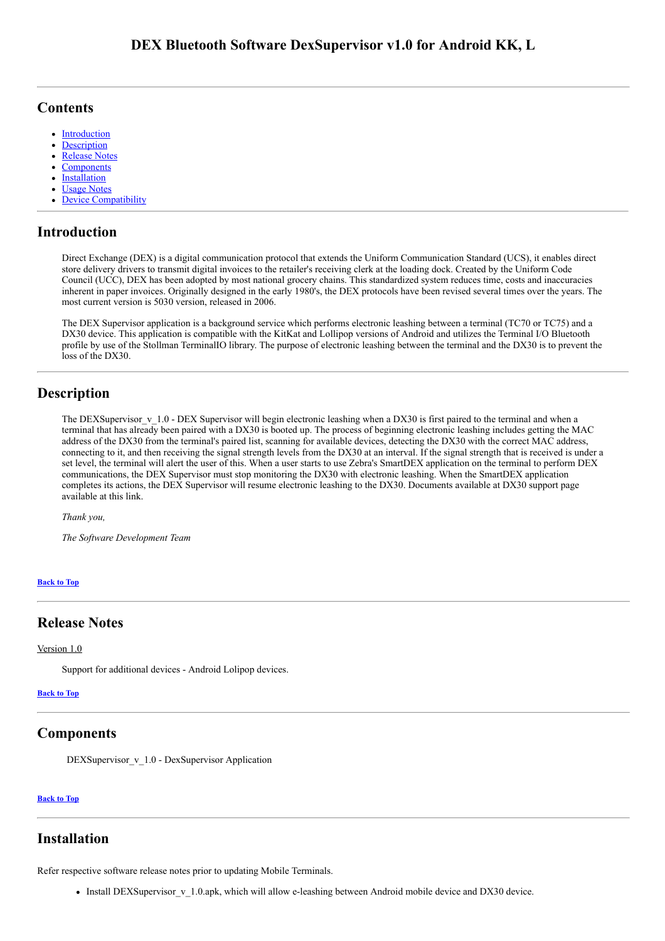### <span id="page-0-5"></span>**Contents**

- **[Introduction](#page-0-0)**  $\bullet$
- [Description](#page-0-1)
- [Release Notes](#page-0-2)
- **[Components](#page-0-3)**
- [Installation](#page-0-4)
- [Usage Notes](#page-1-0)
- [Device Compatibility](#page-1-1)

## <span id="page-0-0"></span>Introduction

Direct Exchange (DEX) is a digital communication protocol that extends the Uniform Communication Standard (UCS), it enables direct store delivery drivers to transmit digital invoices to the retailer's receiving clerk at the loading dock. Created by the Uniform Code Council (UCC), DEX has been adopted by most national grocery chains. This standardized system reduces time, costs and inaccuracies inherent in paper invoices. Originally designed in the early 1980's, the DEX protocols have been revised several times over the years. The most current version is 5030 version, released in 2006.

The DEX Supervisor application is a background service which performs electronic leashing between a terminal (TC70 or TC75) and a DX30 device. This application is compatible with the KitKat and Lollipop versions of Android and utilizes the Terminal I/O Bluetooth profile by use of the Stollman TerminalIO library. The purpose of electronic leashing between the terminal and the DX30 is to prevent the loss of the DX30.

## <span id="page-0-1"></span>Description

The DEXSupervisor  $v$  1.0 - DEX Supervisor will begin electronic leashing when a DX30 is first paired to the terminal and when a terminal that has already been paired with a DX30 is booted up. The process of beginning electronic leashing includes getting the MAC address of the DX30 from the terminal's paired list, scanning for available devices, detecting the DX30 with the correct MAC address, connecting to it, and then receiving the signal strength levels from the DX30 at an interval. If the signal strength that is received is under a set level, the terminal will alert the user of this. When a user starts to use Zebra's SmartDEX application on the terminal to perform DEX communications, the DEX Supervisor must stop monitoring the DX30 with electronic leashing. When the SmartDEX application completes its actions, the DEX Supervisor will resume electronic leashing to the DX30. Documents available at DX30 support page available at this link.

*Thank you,*

*The Software Development Team*

### [Back](#page-0-5) to Top

### <span id="page-0-2"></span>Release Notes

### Version 1.0

Support for additional devices - Android Lolipop devices.

#### [Back](#page-0-5) to Top

### <span id="page-0-3"></span>Components

DEXSupervisor v\_1.0 - DexSupervisor Application

### [Back](#page-0-5) to Top

### <span id="page-0-4"></span>Installation

Refer respective software release notes prior to updating Mobile Terminals.

• Install DEXSupervisor v 1.0.apk, which will allow e-leashing between Android mobile device and DX30 device.